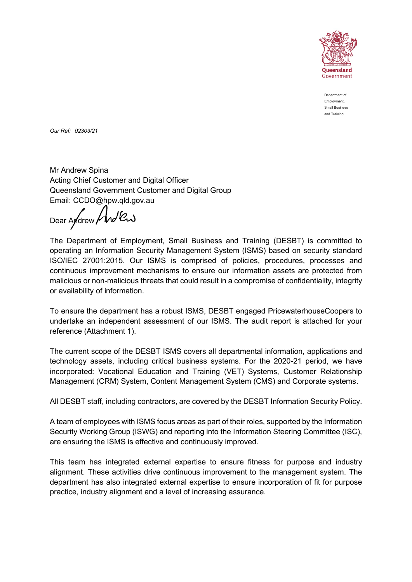

Department of Employment, Small Business and Training

Our Ref: 02303/21

Mr Andrew Spina Acting Chief Customer and Digital Officer Queensland Government Customer and Digital Group Email: CCDO@hpw.qld.gov.au

Dear Aydrew /hd lew

The Department of Employment, Small Business and Training (DESBT) is committed to operating an Information Security Management System (ISMS) based on security standard ISO/IEC 27001:2015. Our ISMS is comprised of policies, procedures, processes and continuous improvement mechanisms to ensure our information assets are protected from malicious or non-malicious threats that could result in a compromise of confidentiality, integrity or availability of information.

To ensure the department has a robust ISMS, DESBT engaged PricewaterhouseCoopers to undertake an independent assessment of our ISMS. The audit report is attached for your reference (Attachment 1).

The current scope of the DESBT ISMS covers all departmental information, applications and technology assets, including critical business systems. For the 2020-21 period, we have incorporated: Vocational Education and Training (VET) Systems, Customer Relationship Management (CRM) System, Content Management System (CMS) and Corporate systems.

All DESBT staff, including contractors, are covered by the DESBT Information Security Policy.

A team of employees with ISMS focus areas as part of their roles, supported by the Information Security Working Group (ISWG) and reporting into the Information Steering Committee (ISC), are ensuring the ISMS is effective and continuously improved.

This team has integrated external expertise to ensure fitness for purpose and industry alignment. These activities drive continuous improvement to the management system. The department has also integrated external expertise to ensure incorporation of fit for purpose practice, industry alignment and a level of increasing assurance.